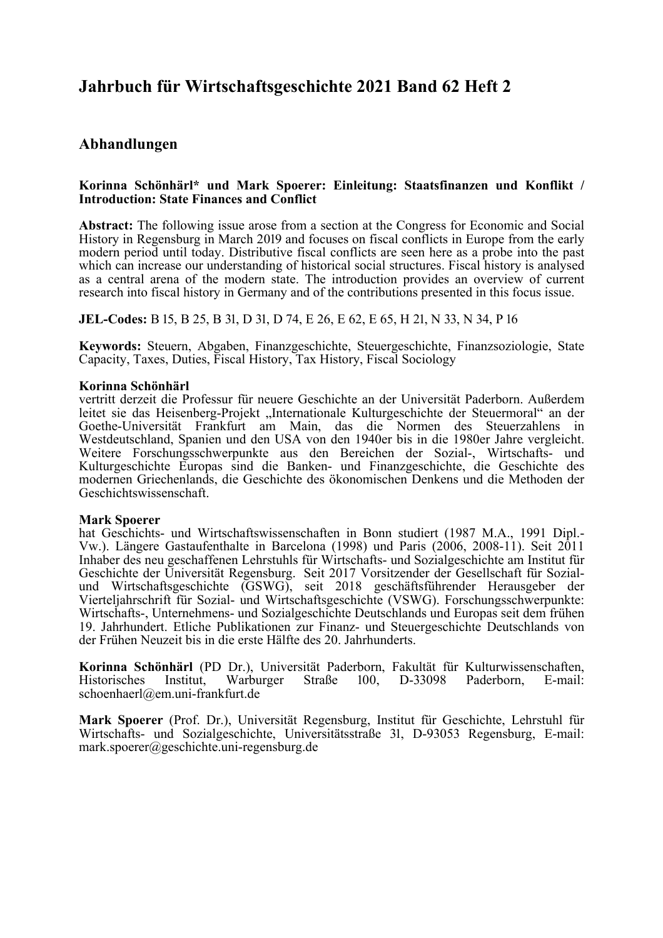# **Jahrbuch für Wirtschaftsgeschichte 2021 Band 62 Heft 2**

# **Abhandlungen**

# **Korinna Schönhärl\* und Mark Spoerer: Einleitung: Staatsfinanzen und Konflikt / Introduction: State Finances and Conflict**

**Abstract:** The following issue arose from a section at the Congress for Economic and Social History in Regensburg in March 2019 and focuses on fiscal conflicts in Europe from the early modern period until today. Distributive fiscal conflicts are seen here as a probe into the past which can increase our understanding of historical social structures. Fiscal history is analysed as a central arena of the modern state. The introduction provides an overview of current research into fiscal history in Germany and of the contributions presented in this focus issue.

**JEL-Codes:** B 15, B 25, B 31, D 31, D 74, E 26, E 62, E 65, H 21, N 33, N 34, P 16

**Keywords:** Steuern, Abgaben, Finanzgeschichte, Steuergeschichte, Finanzsoziologie, State Capacity, Taxes, Duties, Fiscal History, Tax History, Fiscal Sociology

# **Korinna Schönhärl**

vertritt derzeit die Professur für neuere Geschichte an der Universität Paderborn. Außerdem leitet sie das Heisenberg-Projekt "Internationale Kulturgeschichte der Steuermoral" an der Goethe-Universität Frankfurt am Main, das die Normen des Steuerzahlens in Westdeutschland, Spanien und den USA von den 1940er bis in die 1980er Jahre vergleicht. Weitere Forschungsschwerpunkte aus den Bereichen der Sozial-, Wirtschafts- und Kulturgeschichte Europas sind die Banken- und Finanzgeschichte, die Geschichte des modernen Griechenlands, die Geschichte des ökonomischen Denkens und die Methoden der Geschichtswissenschaft.

# **Mark Spoerer**

hat Geschichts- und Wirtschaftswissenschaften in Bonn studiert (1987 M.A., 1991 Dipl.- Vw.). Längere Gastaufenthalte in Barcelona (1998) und Paris (2006, 2008-11). Seit 2011 Inhaber des neu geschaffenen Lehrstuhls für Wirtschafts- und Sozialgeschichte am Institut für Geschichte der Universität Regensburg. Seit 2017 Vorsitzender der Gesellschaft für Sozialund Wirtschaftsgeschichte (GSWG), seit 2018 geschäftsführender Herausgeber der Vierteljahrschrift für Sozial- und Wirtschaftsgeschichte (VSWG). Forschungsschwerpunkte: Wirtschafts-, Unternehmens- und Sozialgeschichte Deutschlands und Europas seit dem frühen 19. Jahrhundert. Etliche Publikationen zur Finanz- und Steuergeschichte Deutschlands von der Frühen Neuzeit bis in die erste Hälfte des 20. Jahrhunderts.

**Korinna Schönhärl** (PD Dr.), Universität Paderborn, Fakultät für Kulturwissenschaften, Historisches Institut, Warburger Straße 100, D-33098 Paderborn, E-mail: schoenhaerl@em.uni-frankfurt.de

**Mark Spoerer** (Prof. Dr.), Universität Regensburg, Institut für Geschichte, Lehrstuhl für Wirtschafts- und Sozialgeschichte, Universitätsstraße 31, D-93053 Regensburg, E-mail: mark.spoerer@geschichte.uni-regensburg.de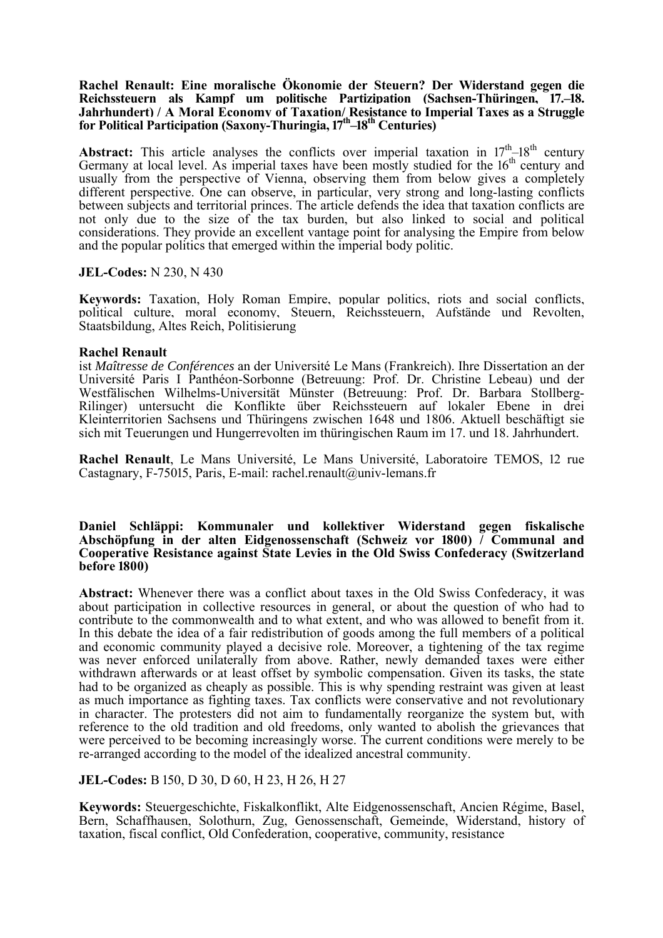# **Rachel Renault: Eine moralische Ökonomie der Steuern? Der Widerstand gegen die**  Reichssteuern als Kampf um politische Partizipation (Sachsen-Thüringen, 17.–18. **Jahrhundert) / A Moral Economy of Taxation/ Resistance to Imperial Taxes as a Struggle for Political Participation (Saxony-Thuringia, 17<sup>th</sup>–18<sup>th</sup> Centuries)**

**Abstract:** This article analyses the conflicts over imperial taxation in  $17<sup>th</sup>$ – $18<sup>th</sup>$  century Germany at local level. As imperial taxes have been mostly studied for the  $16<sup>th</sup>$  century and usually from the perspective of Vienna, observing them from below gives a completely different perspective. One can observe, in particular, very strong and long-lasting conflicts between subjects and territorial princes. The article defends the idea that taxation conflicts are not only due to the size of the tax burden, but also linked to social and political considerations. They provide an excellent vantage point for analysing the Empire from below and the popular politics that emerged within the imperial body politic.

# **JEL-Codes:** N 230, N 430

**Keywords:** Taxation, Holy Roman Empire, popular politics, riots and social conflicts, political culture, moral economy, Steuern, Reichssteuern, Aufstände und Revolten, Staatsbildung, Altes Reich, Politisierung

#### **Rachel Renault**

ist *Maîtresse de Conférences* an der Université Le Mans (Frankreich). Ihre Dissertation an der Université Paris I Panthéon-Sorbonne (Betreuung: Prof. Dr. Christine Lebeau) und der Westfälischen Wilhelms-Universität Münster (Betreuung: Prof. Dr. Barbara Stollberg-Rilinger) untersucht die Konflikte über Reichssteuern auf lokaler Ebene in drei Kleinterritorien Sachsens und Thüringens zwischen 1648 und 1806. Aktuell beschäftigt sie sich mit Teuerungen und Hungerrevolten im thüringischen Raum im 17. und 18. Jahrhundert.

Rachel Renault, Le Mans Université, Le Mans Université, Laboratoire TEMOS, 12 rue Castagnary, F-75015, Paris, E-mail: rachel.renault@univ-lemans.fr

#### **Daniel Schläppi: Kommunaler und kollektiver Widerstand gegen fiskalische**  Abschöpfung in der alten Eidgenossenschaft (Schweiz vor 1800)  $\vec{\ }$  Communal and **Cooperative Resistance against State Levies in the Old Swiss Confederacy (Switzerland before 1800)**

**Abstract:** Whenever there was a conflict about taxes in the Old Swiss Confederacy, it was about participation in collective resources in general, or about the question of who had to contribute to the commonwealth and to what extent, and who was allowed to benefit from it. In this debate the idea of a fair redistribution of goods among the full members of a political and economic community played a decisive role. Moreover, a tightening of the tax regime was never enforced unilaterally from above. Rather, newly demanded taxes were either withdrawn afterwards or at least offset by symbolic compensation. Given its tasks, the state had to be organized as cheaply as possible. This is why spending restraint was given at least as much importance as fighting taxes. Tax conflicts were conservative and not revolutionary in character. The protesters did not aim to fundamentally reorganize the system but, with reference to the old tradition and old freedoms, only wanted to abolish the grievances that were perceived to be becoming increasingly worse. The current conditions were merely to be re-arranged according to the model of the idealized ancestral community.

# **JEL-Codes:** B 150, D 30, D 60, H 23, H 26, H 27

**Keywords:** Steuergeschichte, Fiskalkonflikt, Alte Eidgenossenschaft, Ancien Régime, Basel, Bern, Schaffhausen, Solothurn, Zug, Genossenschaft, Gemeinde, Widerstand, history of taxation, fiscal conflict, Old Confederation, cooperative, community, resistance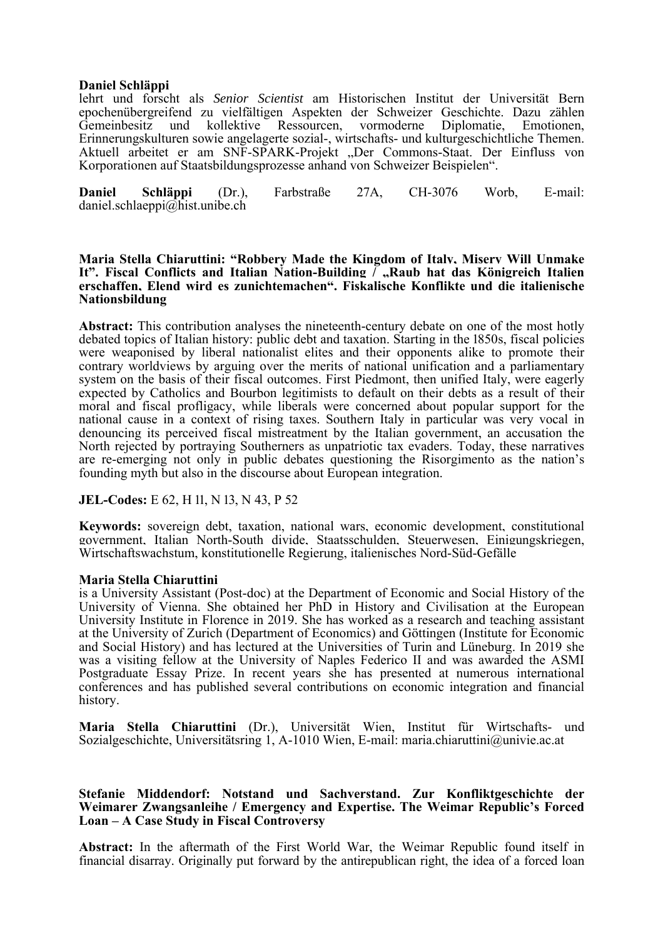# **Daniel Schläppi**

lehrt und forscht als *Senior Scientist* am Historischen Institut der Universität Bern epochenübergreifend zu vielfältigen Aspekten der Schweizer Geschichte. Dazu zählen Gemeinbesitz und kollektive Ressourcen, vormoderne Diplomatie, Emotionen, Erinnerungskulturen sowie angelagerte sozial-, wirtschafts- und kulturgeschichtliche Themen. Aktuell arbeitet er am SNF-SPARK-Projekt "Der Commons-Staat. Der Einfluss von Korporationen auf Staatsbildungsprozesse anhand von Schweizer Beispielen".

**Daniel Schläppi** (Dr.), Farbstraße 27A, CH-3076 Worb, E-mail: daniel.schlaeppi@hist.unibe.ch

#### **Maria Stella Chiaruttini: "Robbery Made the Kingdom of Italy, Misery Will Unmake It". Fiscal Conflicts and Italian Nation-Building / "Raub hat das Königreich Italien erschaffen, Elend wird es zunichtemachen". Fiskalische Konflikte und die italienische Nationsbildung**

**Abstract:** This contribution analyses the nineteenth-century debate on one of the most hotly debated topics of Italian history: public debt and taxation. Starting in the 1850s, fiscal policies were weaponised by liberal nationalist elites and their opponents alike to promote their contrary worldviews by arguing over the merits of national unification and a parliamentary system on the basis of their fiscal outcomes. First Piedmont, then unified Italy, were eagerly expected by Catholics and Bourbon legitimists to default on their debts as a result of their moral and fiscal profligacy, while liberals were concerned about popular support for the national cause in a context of rising taxes. Southern Italy in particular was very vocal in denouncing its perceived fiscal mistreatment by the Italian government, an accusation the North rejected by portraying Southerners as unpatriotic tax evaders. Today, these narratives are re-emerging not only in public debates questioning the Risorgimento as the nation's founding myth but also in the discourse about European integration.

# **JEL-Codes:** E 62, H 11, N 13, N 43, P 52

**Keywords:** sovereign debt, taxation, national wars, economic development, constitutional government, Italian North-South divide, Staatsschulden, Steuerwesen, Einigungskriegen, Wirtschaftswachstum, konstitutionelle Regierung, italienisches Nord-Süd-Gefälle

# **Maria Stella Chiaruttini**

is a University Assistant (Post-doc) at the Department of Economic and Social History of the University of Vienna. She obtained her PhD in History and Civilisation at the European University Institute in Florence in 2019. She has worked as a research and teaching assistant at the University of Zurich (Department of Economics) and Göttingen (Institute for Economic and Social History) and has lectured at the Universities of Turin and Lüneburg. In 2019 she was a visiting fellow at the University of Naples Federico II and was awarded the ASMI Postgraduate Essay Prize. In recent years she has presented at numerous international conferences and has published several contributions on economic integration and financial history.

**Maria Stella Chiaruttini** (Dr.), Universität Wien, Institut für Wirtschafts- und Sozialgeschichte, Universitätsring 1, A-1010 Wien, E-mail: maria.chiaruttini@univie.ac.at

# **Stefanie Middendorf: Notstand und Sachverstand. Zur Konfliktgeschichte der Weimarer Zwangsanleihe / Emergency and Expertise. The Weimar Republic's Forced Loan – A Case Study in Fiscal Controversy**

**Abstract:** In the aftermath of the First World War, the Weimar Republic found itself in financial disarray. Originally put forward by the antirepublican right, the idea of a forced loan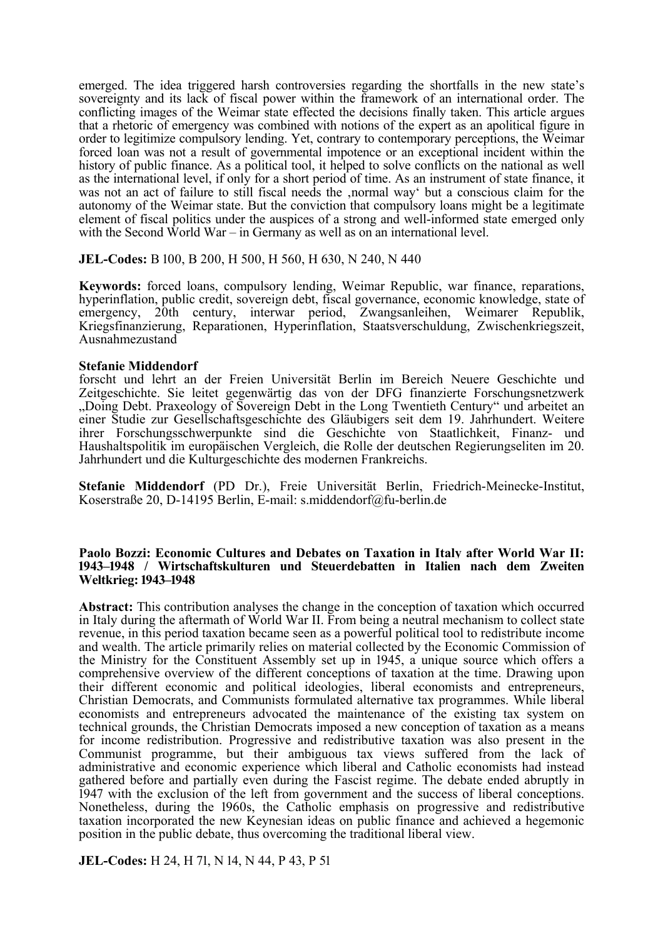emerged. The idea triggered harsh controversies regarding the shortfalls in the new state's sovereignty and its lack of fiscal power within the framework of an international order. The conflicting images of the Weimar state effected the decisions finally taken. This article argues that a rhetoric of emergency was combined with notions of the expert as an apolitical figure in order to legitimize compulsory lending. Yet, contrary to contemporary perceptions, the Weimar forced loan was not a result of governmental impotence or an exceptional incident within the history of public finance. As a political tool, it helped to solve conflicts on the national as well as the international level, if only for a short period of time. As an instrument of state finance, it was not an act of failure to still fiscal needs the , normal way' but a conscious claim for the autonomy of the Weimar state. But the conviction that compulsory loans might be a legitimate element of fiscal politics under the auspices of a strong and well-informed state emerged only with the Second World War – in Germany as well as on an international level.

**JEL-Codes:** B 100, B 200, H 500, H 560, H 630, N 240, N 440

**Keywords:** forced loans, compulsory lending, Weimar Republic, war finance, reparations, hyperinflation, public credit, sovereign debt, fiscal governance, economic knowledge, state of emergency, 20th century, interwar period, Zwangsanleihen, Weimarer Republik, Kriegsfinanzierung, Reparationen, Hyperinflation, Staatsverschuldung, Zwischenkriegszeit, Ausnahmezustand

#### **Stefanie Middendorf**

forscht und lehrt an der Freien Universität Berlin im Bereich Neuere Geschichte und Zeitgeschichte. Sie leitet gegenwärtig das von der DFG finanzierte Forschungsnetzwerk "Doing Debt. Praxeology of Sovereign Debt in the Long Twentieth Century" und arbeitet an einer Studie zur Gesellschaftsgeschichte des Gläubigers seit dem 19. Jahrhundert. Weitere ihrer Forschungsschwerpunkte sind die Geschichte von Staatlichkeit, Finanz- und Haushaltspolitik im europäischen Vergleich, die Rolle der deutschen Regierungseliten im 20. Jahrhundert und die Kulturgeschichte des modernen Frankreichs.

**Stefanie Middendorf** (PD Dr.), Freie Universität Berlin, Friedrich-Meinecke-Institut, Koserstraße 20, D-14195 Berlin, E-mail: s.middendorf@fu-berlin.de

#### **Paolo Bozzi: Economic Cultures and Debates on Taxation in Italy after World War II:**  1943–1948 / Wirtschaftskulturen und Steuerdebatten in Italien nach dem Zweiten **Weltkrieg: 1943–1948**

**Abstract:** This contribution analyses the change in the conception of taxation which occurred in Italy during the aftermath of World War II. From being a neutral mechanism to collect state revenue, in this period taxation became seen as a powerful political tool to redistribute income and wealth. The article primarily relies on material collected by the Economic Commission of the Ministry for the Constituent Assembly set up in 1945, a unique source which offers a comprehensive overview of the different conceptions of taxation at the time. Drawing upon their different economic and political ideologies, liberal economists and entrepreneurs, Christian Democrats, and Communists formulated alternative tax programmes. While liberal economists and entrepreneurs advocated the maintenance of the existing tax system on technical grounds, the Christian Democrats imposed a new conception of taxation as a means for income redistribution. Progressive and redistributive taxation was also present in the Communist programme, but their ambiguous tax views suffered from the lack of administrative and economic experience which liberal and Catholic economists had instead gathered before and partially even during the Fascist regime. The debate ended abruptly in 1947 with the exclusion of the left from government and the success of liberal conceptions. Nonetheless, during the 1960s, the Catholic emphasis on progressive and redistributive taxation incorporated the new Keynesian ideas on public finance and achieved a hegemonic position in the public debate, thus overcoming the traditional liberal view.

**JEL-Codes:** H 24, H 71, N 14, N 44, P 43, P 51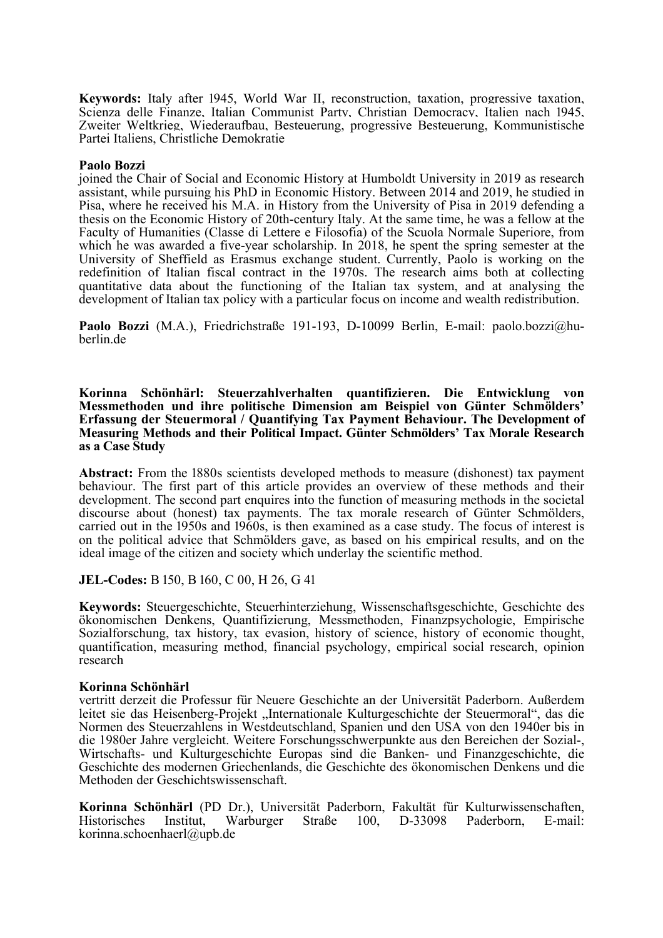Keywords: Italy after 1945, World War II, reconstruction, taxation, progressive taxation, Scienza delle Finanze, Italian Communist Party, Christian Democracy, Italien nach 1945, Zweiter Weltkrieg, Wiederaufbau, Besteuerung, progressive Besteuerung, Kommunistische Partei Italiens, Christliche Demokratie

# **Paolo Bozzi**

joined the Chair of Social and Economic History at Humboldt University in 2019 as research assistant, while pursuing his PhD in Economic History. Between 2014 and 2019, he studied in Pisa, where he received his M.A. in History from the University of Pisa in 2019 defending a thesis on the Economic History of 20th-century Italy. At the same time, he was a fellow at the Faculty of Humanities (Classe di Lettere e Filosofia) of the Scuola Normale Superiore, from which he was awarded a five-year scholarship. In 2018, he spent the spring semester at the University of Sheffield as Erasmus exchange student. Currently, Paolo is working on the redefinition of Italian fiscal contract in the 1970s. The research aims both at collecting quantitative data about the functioning of the Italian tax system, and at analysing the development of Italian tax policy with a particular focus on income and wealth redistribution.

**Paolo Bozzi** (M.A.), Friedrichstraße 191-193, D-10099 Berlin, E-mail: paolo.bozzi@huberlin.de

**Korinna Schönhärl: Steuerzahlverhalten quantifizieren. Die Entwicklung von Messmethoden und ihre politische Dimension am Beispiel von Günter Schmölders' Erfassung der Steuermoral / Quantifying Tax Payment Behaviour. The Development of Measuring Methods and their Political Impact. Günter Schmölders' Tax Morale Research as a Case Study** 

Abstract: From the 1880s scientists developed methods to measure (dishonest) tax payment behaviour. The first part of this article provides an overview of these methods and their development. The second part enquires into the function of measuring methods in the societal discourse about (honest) tax payments. The tax morale research of Günter Schmölders, carried out in the 1950s and 1960s, is then examined as a case study. The focus of interest is on the political advice that Schmölders gave, as based on his empirical results, and on the ideal image of the citizen and society which underlay the scientific method.

**JEL-Codes:** B 150, B 160, C 00, H 26, G 41

**Keywords:** Steuergeschichte, Steuerhinterziehung, Wissenschaftsgeschichte, Geschichte des ökonomischen Denkens, Quantifizierung, Messmethoden, Finanzpsychologie, Empirische Sozialforschung, tax history, tax evasion, history of science, history of economic thought, quantification, measuring method, financial psychology, empirical social research, opinion research

# **Korinna Schönhärl**

vertritt derzeit die Professur für Neuere Geschichte an der Universität Paderborn. Außerdem leitet sie das Heisenberg-Projekt "Internationale Kulturgeschichte der Steuermoral", das die Normen des Steuerzahlens in Westdeutschland, Spanien und den USA von den 1940er bis in die 1980er Jahre vergleicht. Weitere Forschungsschwerpunkte aus den Bereichen der Sozial-, Wirtschafts- und Kulturgeschichte Europas sind die Banken- und Finanzgeschichte, die Geschichte des modernen Griechenlands, die Geschichte des ökonomischen Denkens und die Methoden der Geschichtswissenschaft.

**Korinna Schönhärl** (PD Dr.), Universität Paderborn, Fakultät für Kulturwissenschaften, Historisches Institut, Warburger Straße 100, D-33098 Paderborn, E-mail: korinna.schoenhaerl@upb.de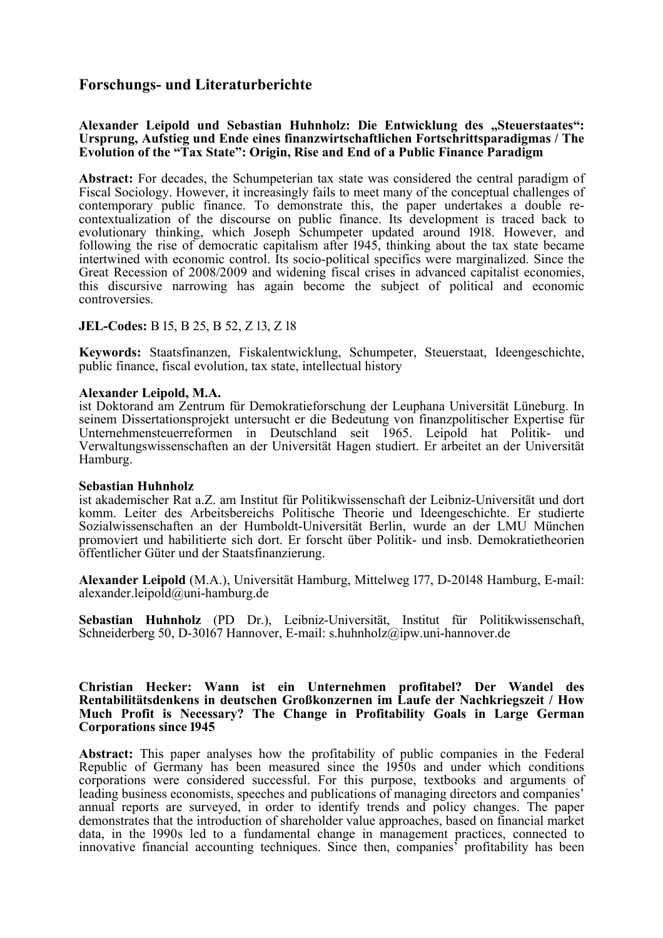# **Forschungs- und Literaturberichte**

# Alexander Leipold und Sebastian Huhnholz: Die Entwicklung des "Steuerstaates": **Ursprung, Aufstieg und Ende eines finanzwirtschaftlichen Fortschrittsparadigmas / The Evolution of the "Tax State": Origin, Rise and End of a Public Finance Paradigm**

**Abstract:** For decades, the Schumpeterian tax state was considered the central paradigm of Fiscal Sociology. However, it increasingly fails to meet many of the conceptual challenges of contemporary public finance. To demonstrate this, the paper undertakes a double recontextualization of the discourse on public finance. Its development is traced back to evolutionary thinking, which Joseph Schumpeter updated around 1918. However, and following the rise of democratic capitalism after  $1945$ , thinking about the tax state became intertwined with economic control. Its socio-political specifics were marginalized. Since the Great Recession of  $2008/2009$  and widening fiscal crises in advanced capitalist economies, this discursive narrowing has again become the subject of political and economic controversies.

# **JEL-Codes:** B 15, B 25, B 52, Z 13, Z 18

**Keywords:** Staatsfinanzen, Fiskalentwicklung, Schumpeter, Steuerstaat, Ideengeschichte, public finance, fiscal evolution, tax state, intellectual history

# **Alexander Leipold, M.A.**

ist Doktorand am Zentrum für Demokratieforschung der Leuphana Universität Lüneburg. In seinem Dissertationsprojekt untersucht er die Bedeutung von finanzpolitischer Expertise für Unternehmensteuerreformen in Deutschland seit 1965. Leipold hat Politik- und Verwaltungswissenschaften an der Universität Hagen studiert. Er arbeitet an der Universität Hamburg.

# **Sebastian Huhnholz**

ist akademischer Rat a.Z. am Institut für Politikwissenschaft der Leibniz-Universität und dort komm. Leiter des Arbeitsbereichs Politische Theorie und Ideengeschichte. Er studierte Sozialwissenschaften an der Humboldt-Universität Berlin, wurde an der LMU München promoviert und habilitierte sich dort. Er forscht über Politik- und insb. Demokratietheorien öffentlicher Güter und der Staatsfinanzierung.

Alexander Leipold (M.A.), Universität Hamburg, Mittelweg 177, D-20148 Hamburg, E-mail: alexander.leipold@uni-hamburg.de

**Sebastian Huhnholz** (PD Dr.), Leibniz-Universität, Institut für Politikwissenschaft, Schneiderberg  $50$ , D- $30167$  Hannover, E-mail: s.huhnholz@ipw.uni-hannover.de

#### **Christian Hecker: Wann ist ein Unternehmen profitabel? Der Wandel des Rentabilitätsdenkens in deutschen Großkonzernen im Laufe der Nachkriegszeit / How Much Profit is Necessary? The Change in Profitability Goals in Large German Corporations since 1945**

**Abstract:** This paper analyses how the profitability of public companies in the Federal Republic of Germany has been measured since the 1950s and under which conditions corporations were considered successful. For this purpose, textbooks and arguments of leading business economists, speeches and publications of managing directors and companies' annual reports are surveyed, in order to identify trends and policy changes. The paper demonstrates that the introduction of shareholder value approaches, based on financial market data, in the 1990s led to a fundamental change in management practices, connected to innovative financial accounting techniques. Since then, companies' profitability has been